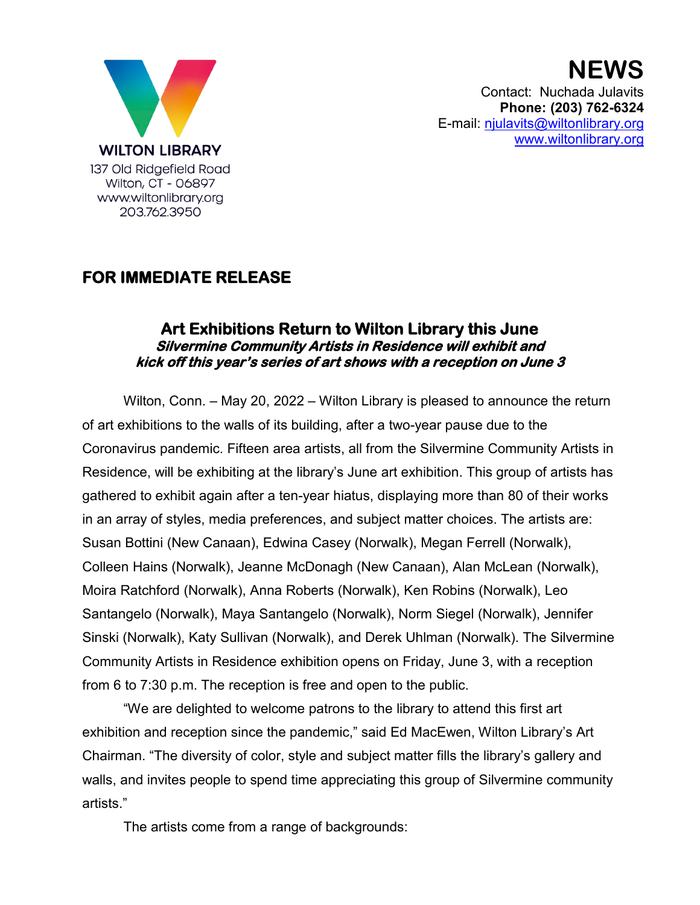

**NEWS** Contact: Nuchada Julavits **Phone: (203) 762-6324** E-mail: [njulavits@wiltonlibrary.org](mailto:njulavits@wiltonlibrary.org) [www.wiltonlibrary.org](http://www.wiltonlibrary.org/)

## **FOR IMMEDIATE RELEASE**

## **Art Exhibitions Return to Wilton Library this June Silvermine Community Artists in Residence will exhibit and kick off this year's series of art shows with a reception on June 3**

Wilton, Conn. – May 20, 2022 – Wilton Library is pleased to announce the return of art exhibitions to the walls of its building, after a two-year pause due to the Coronavirus pandemic. Fifteen area artists, all from the Silvermine Community Artists in Residence, will be exhibiting at the library's June art exhibition. This group of artists has gathered to exhibit again after a ten-year hiatus, displaying more than 80 of their works in an array of styles, media preferences, and subject matter choices. The artists are: Susan Bottini (New Canaan), Edwina Casey (Norwalk), Megan Ferrell (Norwalk), Colleen Hains (Norwalk), Jeanne McDonagh (New Canaan), Alan McLean (Norwalk), Moira Ratchford (Norwalk), Anna Roberts (Norwalk), Ken Robins (Norwalk), Leo Santangelo (Norwalk), Maya Santangelo (Norwalk), Norm Siegel (Norwalk), Jennifer Sinski (Norwalk), Katy Sullivan (Norwalk), and Derek Uhlman (Norwalk). The Silvermine Community Artists in Residence exhibition opens on Friday, June 3, with a reception from 6 to 7:30 p.m. The reception is free and open to the public.

"We are delighted to welcome patrons to the library to attend this first art exhibition and reception since the pandemic," said Ed MacEwen, Wilton Library's Art Chairman. "The diversity of color, style and subject matter fills the library's gallery and walls, and invites people to spend time appreciating this group of Silvermine community artists."

The artists come from a range of backgrounds: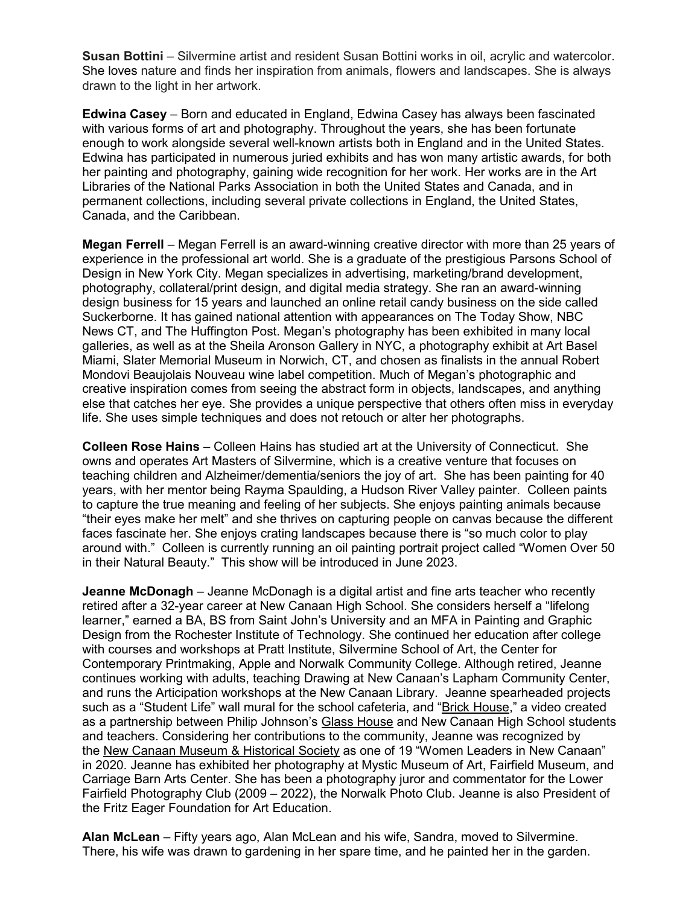**Susan Bottini** – Silvermine artist and resident Susan Bottini works in oil, acrylic and watercolor. She loves nature and finds her inspiration from animals, flowers and landscapes. She is always drawn to the light in her artwork.

**Edwina Casey** – Born and educated in England, Edwina Casey has always been fascinated with various forms of art and photography. Throughout the years, she has been fortunate enough to work alongside several well-known artists both in England and in the United States. Edwina has participated in numerous juried exhibits and has won many artistic awards, for both her painting and photography, gaining wide recognition for her work. Her works are in the Art Libraries of the National Parks Association in both the United States and Canada, and in permanent collections, including several private collections in England, the United States, Canada, and the Caribbean.

**Megan Ferrell** – Megan Ferrell is an award-winning creative director with more than 25 years of experience in the professional art world. She is a graduate of the prestigious Parsons School of Design in New York City. Megan specializes in advertising, marketing/brand development, photography, collateral/print design, and digital media strategy. She ran an award-winning design business for 15 years and launched an online retail candy business on the side called Suckerborne. It has gained national attention with appearances on The Today Show, NBC News CT, and The Huffington Post. Megan's photography has been exhibited in many local galleries, as well as at the Sheila Aronson Gallery in NYC, a photography exhibit at Art Basel Miami, Slater Memorial Museum in Norwich, CT, and chosen as finalists in the annual Robert Mondovi Beaujolais Nouveau wine label competition. Much of Megan's photographic and creative inspiration comes from seeing the abstract form in objects, landscapes, and anything else that catches her eye. She provides a unique perspective that others often miss in everyday life. She uses simple techniques and does not retouch or alter her photographs.

**Colleen Rose Hains** – Colleen Hains has studied art at the University of Connecticut. She owns and operates Art Masters of Silvermine, which is a creative venture that focuses on teaching children and Alzheimer/dementia/seniors the joy of art. She has been painting for 40 years, with her mentor being Rayma Spaulding, a Hudson River Valley painter. Colleen paints to capture the true meaning and feeling of her subjects. She enjoys painting animals because "their eyes make her melt" and she thrives on capturing people on canvas because the different faces fascinate her. She enjoys crating landscapes because there is "so much color to play around with." Colleen is currently running an oil painting portrait project called "Women Over 50 in their Natural Beauty." This show will be introduced in June 2023.

**Jeanne McDonagh** – Jeanne McDonagh is a digital artist and fine arts teacher who recently retired after a 32-year career at New Canaan High School. She considers herself a "lifelong learner," earned a BA, BS from Saint John's University and an MFA in Painting and Graphic Design from the Rochester Institute of Technology. She continued her education after college with courses and workshops at Pratt Institute, Silvermine School of Art, the Center for Contemporary Printmaking, Apple and Norwalk Community College. Although retired, Jeanne continues working with adults, teaching Drawing at New Canaan's Lapham Community Center, and runs the Articipation workshops at the New Canaan Library. Jeanne spearheaded projects such as a "Student Life" wall mural for the school cafeteria, and ["Brick House,](about:blank)" a video created as a partnership between Philip Johnson's [Glass House](about:blank) and New Canaan High School students and teachers. Considering her contributions to the community, Jeanne was recognized by the [New Canaan Museum & Historical Society](about:blank) as one of 19 "Women Leaders in New Canaan" in 2020. Jeanne has exhibited her photography at Mystic Museum of Art, Fairfield Museum, and Carriage Barn Arts Center. She has been a photography juror and commentator for the Lower Fairfield Photography Club (2009 – 2022), the Norwalk Photo Club. Jeanne is also President of the Fritz Eager Foundation for Art Education.

**Alan McLean** – Fifty years ago, Alan McLean and his wife, Sandra, moved to Silvermine. There, his wife was drawn to gardening in her spare time, and he painted her in the garden.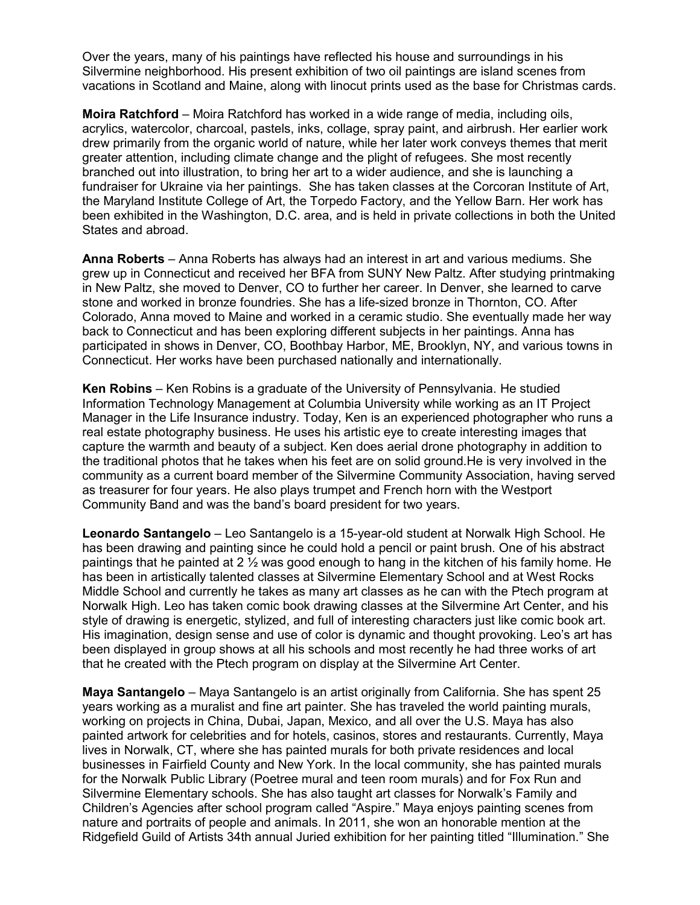Over the years, many of his paintings have reflected his house and surroundings in his Silvermine neighborhood. His present exhibition of two oil paintings are island scenes from vacations in Scotland and Maine, along with linocut prints used as the base for Christmas cards.

**Moira Ratchford** – Moira Ratchford has worked in a wide range of media, including oils, acrylics, watercolor, charcoal, pastels, inks, collage, spray paint, and airbrush. Her earlier work drew primarily from the organic world of nature, while her later work conveys themes that merit greater attention, including climate change and the plight of refugees. She most recently branched out into illustration, to bring her art to a wider audience, and she is launching a fundraiser for Ukraine via her paintings. She has taken classes at the Corcoran Institute of Art, the Maryland Institute College of Art, the Torpedo Factory, and the Yellow Barn. Her work has been exhibited in the Washington, D.C. area, and is held in private collections in both the United States and abroad.

**Anna Roberts** – Anna Roberts has always had an interest in art and various mediums. She grew up in Connecticut and received her BFA from SUNY New Paltz. After studying printmaking in New Paltz, she moved to Denver, CO to further her career. In Denver, she learned to carve stone and worked in bronze foundries. She has a life-sized bronze in Thornton, CO. After Colorado, Anna moved to Maine and worked in a ceramic studio. She eventually made her way back to Connecticut and has been exploring different subjects in her paintings. Anna has participated in shows in Denver, CO, Boothbay Harbor, ME, Brooklyn, NY, and various towns in Connecticut. Her works have been purchased nationally and internationally.

**Ken Robins** – Ken Robins is a graduate of the University of Pennsylvania. He studied Information Technology Management at Columbia University while working as an IT Project Manager in the Life Insurance industry. Today, Ken is an experienced photographer who runs a real estate photography business. He uses his artistic eye to create interesting images that capture the warmth and beauty of a subject. Ken does aerial drone photography in addition to the traditional photos that he takes when his feet are on solid ground.He is very involved in the community as a current board member of the Silvermine Community Association, having served as treasurer for four years. He also plays trumpet and French horn with the Westport Community Band and was the band's board president for two years.

**Leonardo Santangelo** – Leo Santangelo is a 15-year-old student at Norwalk High School. He has been drawing and painting since he could hold a pencil or paint brush. One of his abstract paintings that he painted at 2  $\frac{1}{2}$  was good enough to hang in the kitchen of his family home. He has been in artistically talented classes at Silvermine Elementary School and at West Rocks Middle School and currently he takes as many art classes as he can with the Ptech program at Norwalk High. Leo has taken comic book drawing classes at the Silvermine Art Center, and his style of drawing is energetic, stylized, and full of interesting characters just like comic book art. His imagination, design sense and use of color is dynamic and thought provoking. Leo's art has been displayed in group shows at all his schools and most recently he had three works of art that he created with the Ptech program on display at the Silvermine Art Center.

**Maya Santangelo** – Maya Santangelo is an artist originally from California. She has spent 25 years working as a muralist and fine art painter. She has traveled the world painting murals, working on projects in China, Dubai, Japan, Mexico, and all over the U.S. Maya has also painted artwork for celebrities and for hotels, casinos, stores and restaurants. Currently, Maya lives in Norwalk, CT, where she has painted murals for both private residences and local businesses in Fairfield County and New York. In the local community, she has painted murals for the Norwalk Public Library (Poetree mural and teen room murals) and for Fox Run and Silvermine Elementary schools. She has also taught art classes for Norwalk's Family and Children's Agencies after school program called "Aspire." Maya enjoys painting scenes from nature and portraits of people and animals. In 2011, she won an honorable mention at the Ridgefield Guild of Artists 34th annual Juried exhibition for her painting titled "Illumination." She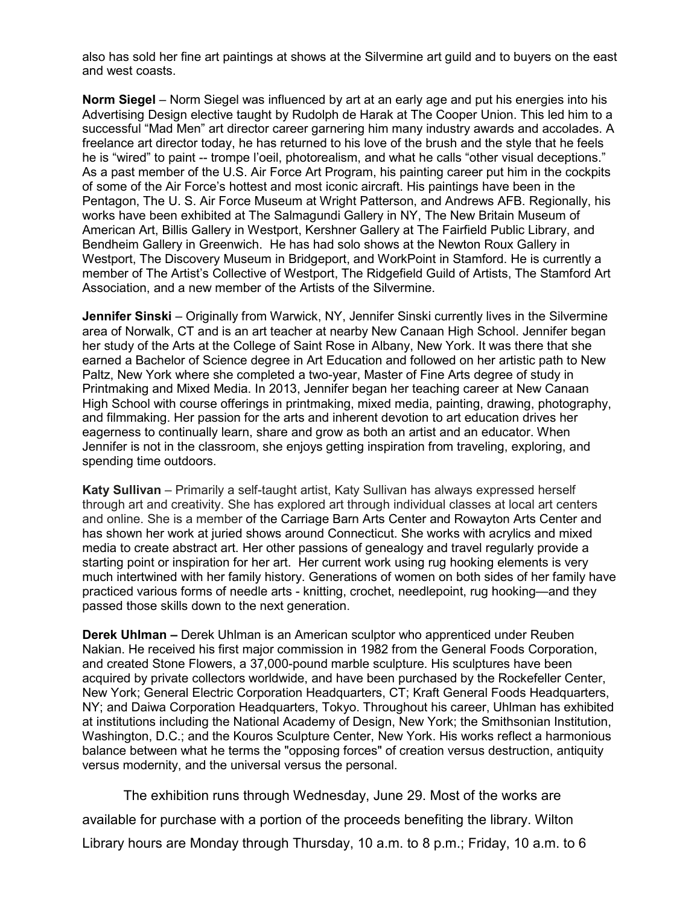also has sold her fine art paintings at shows at the Silvermine art guild and to buyers on the east and west coasts.

**Norm Siegel** – Norm Siegel was influenced by art at an early age and put his energies into his Advertising Design elective taught by Rudolph de Harak at The Cooper Union. This led him to a successful "Mad Men" art director career garnering him many industry awards and accolades. A freelance art director today, he has returned to his love of the brush and the style that he feels he is "wired" to paint -- trompe l'oeil, photorealism, and what he calls "other visual deceptions." As a past member of the U.S. Air Force Art Program, his painting career put him in the cockpits of some of the Air Force's hottest and most iconic aircraft. His paintings have been in the Pentagon, The U. S. Air Force Museum at Wright Patterson, and Andrews AFB. Regionally, his works have been exhibited at The Salmagundi Gallery in NY, The New Britain Museum of American Art, Billis Gallery in Westport, Kershner Gallery at The Fairfield Public Library, and Bendheim Gallery in Greenwich. He has had solo shows at the Newton Roux Gallery in Westport, The Discovery Museum in Bridgeport, and WorkPoint in Stamford. He is currently a member of The Artist's Collective of Westport, The Ridgefield Guild of Artists, The Stamford Art Association, and a new member of the Artists of the Silvermine.

**Jennifer Sinski** – Originally from Warwick, NY, Jennifer Sinski currently lives in the Silvermine area of Norwalk, CT and is an art teacher at nearby New Canaan High School. Jennifer began her study of the Arts at the College of Saint Rose in Albany, New York. It was there that she earned a Bachelor of Science degree in Art Education and followed on her artistic path to New Paltz, New York where she completed a two-year, Master of Fine Arts degree of study in Printmaking and Mixed Media. In 2013, Jennifer began her teaching career at New Canaan High School with course offerings in printmaking, mixed media, painting, drawing, photography, and filmmaking. Her passion for the arts and inherent devotion to art education drives her eagerness to continually learn, share and grow as both an artist and an educator. When Jennifer is not in the classroom, she enjoys getting inspiration from traveling, exploring, and spending time outdoors.

**Katy Sullivan** – Primarily a self-taught artist, Katy Sullivan has always expressed herself through art and creativity. She has explored art through individual classes at local art centers and online. She is a member of the Carriage Barn Arts Center and Rowayton Arts Center and has shown her work at juried shows around Connecticut. She works with acrylics and mixed media to create abstract art. Her other passions of genealogy and travel regularly provide a starting point or inspiration for her art. Her current work using rug hooking elements is very much intertwined with her family history. Generations of women on both sides of her family have practiced various forms of needle arts - knitting, crochet, needlepoint, rug hooking—and they passed those skills down to the next generation.

**Derek Uhlman –** Derek Uhlman is an American sculptor who apprenticed under Reuben Nakian. He received his first major commission in 1982 from the General Foods Corporation, and created Stone Flowers, a 37,000-pound marble sculpture. His sculptures have been acquired by private collectors worldwide, and have been purchased by the Rockefeller Center, New York; General Electric Corporation Headquarters, CT; Kraft General Foods Headquarters, NY; and Daiwa Corporation Headquarters, Tokyo. Throughout his career, Uhlman has exhibited at institutions including the National Academy of Design, New York; the Smithsonian Institution, Washington, D.C.; and the Kouros Sculpture Center, New York. His works reflect a harmonious balance between what he terms the "opposing forces" of creation versus destruction, antiquity versus modernity, and the universal versus the personal.

The exhibition runs through Wednesday, June 29. Most of the works are

available for purchase with a portion of the proceeds benefiting the library. Wilton

Library hours are Monday through Thursday, 10 a.m. to 8 p.m.; Friday, 10 a.m. to 6